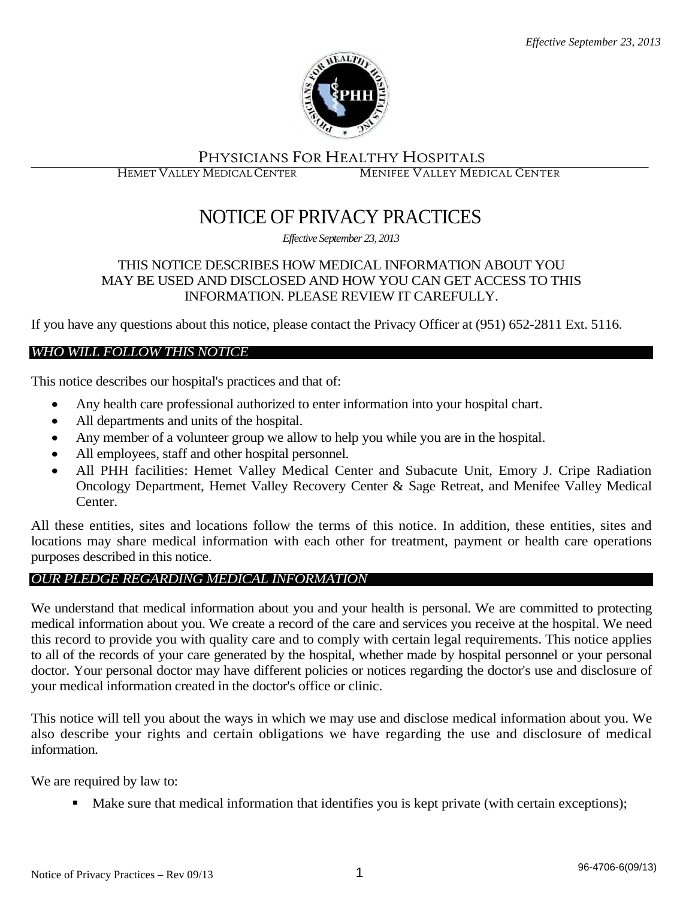

# **PHYSICIANS FOR HEALTHY HOSPITALS**<br>HEMET VALLEY MEDICAL CENTER MENIFEE VALLEY MED

MENIFEE VALLEY MEDICAL CENTER

## NOTICE OF PRIVACY PRACTICES

*Effective September 23, 2013*

## THIS NOTICE DESCRIBES HOW MEDICAL INFORMATION ABOUT YOU MAY BE USED AND DISCLOSED AND HOW YOU CAN GET ACCESS TO THIS INFORMATION. PLEASE REVIEW IT CAREFULLY.

If you have any questions about this notice, please contact the Privacy Officer at (951) 652-2811 Ext. 5116.

## *WHO WILL FOLLOW THIS NOTICE*

This notice describes our hospital's practices and that of:

- Any health care professional authorized to enter information into your hospital chart.
- All departments and units of the hospital.
- Any member of a volunteer group we allow to help you while you are in the hospital.
- All employees, staff and other hospital personnel.
- All PHH facilities: Hemet Valley Medical Center and Subacute Unit, Emory J. Cripe Radiation Oncology Department, Hemet Valley Recovery Center & Sage Retreat, and Menifee Valley Medical Center.

All these entities, sites and locations follow the terms of this notice. In addition, these entities, sites and locations may share medical information with each other for treatment, payment or health care operations purposes described in this notice.

## *OUR PLEDGE REGARDING MEDICAL INFORMATION*

We understand that medical information about you and your health is personal. We are committed to protecting medical information about you. We create a record of the care and services you receive at the hospital. We need this record to provide you with quality care and to comply with certain legal requirements. This notice applies to all of the records of your care generated by the hospital, whether made by hospital personnel or your personal doctor. Your personal doctor may have different policies or notices regarding the doctor's use and disclosure of your medical information created in the doctor's office or clinic.

This notice will tell you about the ways in which we may use and disclose medical information about you. We also describe your rights and certain obligations we have regarding the use and disclosure of medical information.

We are required by law to:

• Make sure that medical information that identifies you is kept private (with certain exceptions);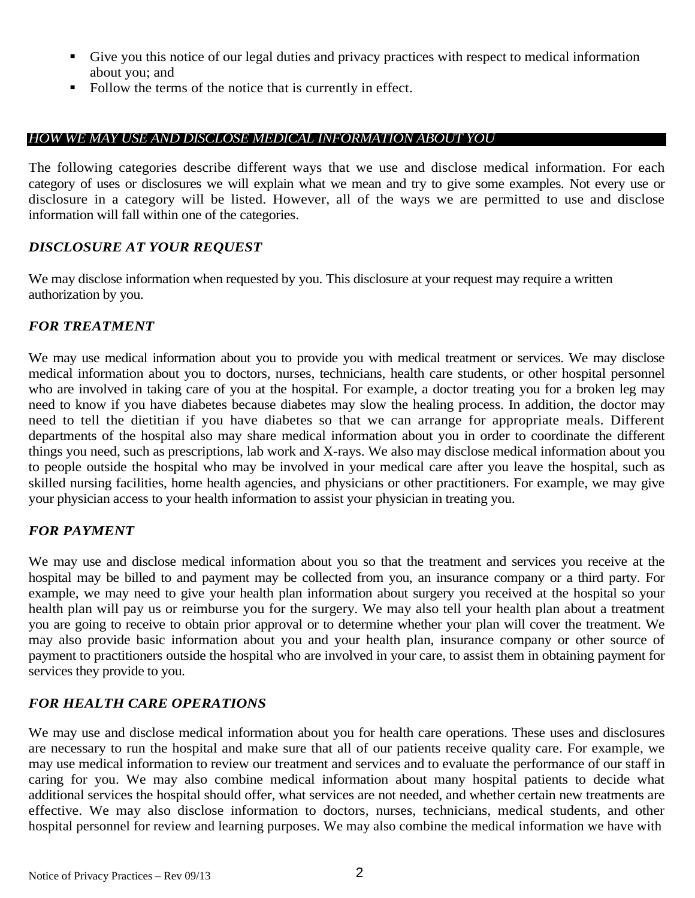- Give you this notice of our legal duties and privacy practices with respect to medical information about you; and
- Follow the terms of the notice that is currently in effect.

### *HOW WE MAY USE AND DISCLOSE MEDICAL INFORMATION ABOUT YOU*

The following categories describe different ways that we use and disclose medical information. For each category of uses or disclosures we will explain what we mean and try to give some examples. Not every use or disclosure in a category will be listed. However, all of the ways we are permitted to use and disclose information will fall within one of the categories.

## *DISCLOSURE AT YOUR REQUEST*

We may disclose information when requested by you. This disclosure at your request may require a written authorization by you.

## *FOR TREATMENT*

We may use medical information about you to provide you with medical treatment or services. We may disclose medical information about you to doctors, nurses, technicians, health care students, or other hospital personnel who are involved in taking care of you at the hospital. For example, a doctor treating you for a broken leg may need to know if you have diabetes because diabetes may slow the healing process. In addition, the doctor may need to tell the dietitian if you have diabetes so that we can arrange for appropriate meals. Different departments of the hospital also may share medical information about you in order to coordinate the different things you need, such as prescriptions, lab work and X-rays. We also may disclose medical information about you to people outside the hospital who may be involved in your medical care after you leave the hospital, such as skilled nursing facilities, home health agencies, and physicians or other practitioners. For example, we may give your physician access to your health information to assist your physician in treating you.

## *FOR PAYMENT*

We may use and disclose medical information about you so that the treatment and services you receive at the hospital may be billed to and payment may be collected from you, an insurance company or a third party. For example, we may need to give your health plan information about surgery you received at the hospital so your health plan will pay us or reimburse you for the surgery. We may also tell your health plan about a treatment you are going to receive to obtain prior approval or to determine whether your plan will cover the treatment. We may also provide basic information about you and your health plan, insurance company or other source of payment to practitioners outside the hospital who are involved in your care, to assist them in obtaining payment for services they provide to you.

## *FOR HEALTH CARE OPERATIONS*

We may use and disclose medical information about you for health care operations. These uses and disclosures are necessary to run the hospital and make sure that all of our patients receive quality care. For example, we may use medical information to review our treatment and services and to evaluate the performance of our staff in caring for you. We may also combine medical information about many hospital patients to decide what additional services the hospital should offer, what services are not needed, and whether certain new treatments are effective. We may also disclose information to doctors, nurses, technicians, medical students, and other hospital personnel for review and learning purposes. We may also combine the medical information we have with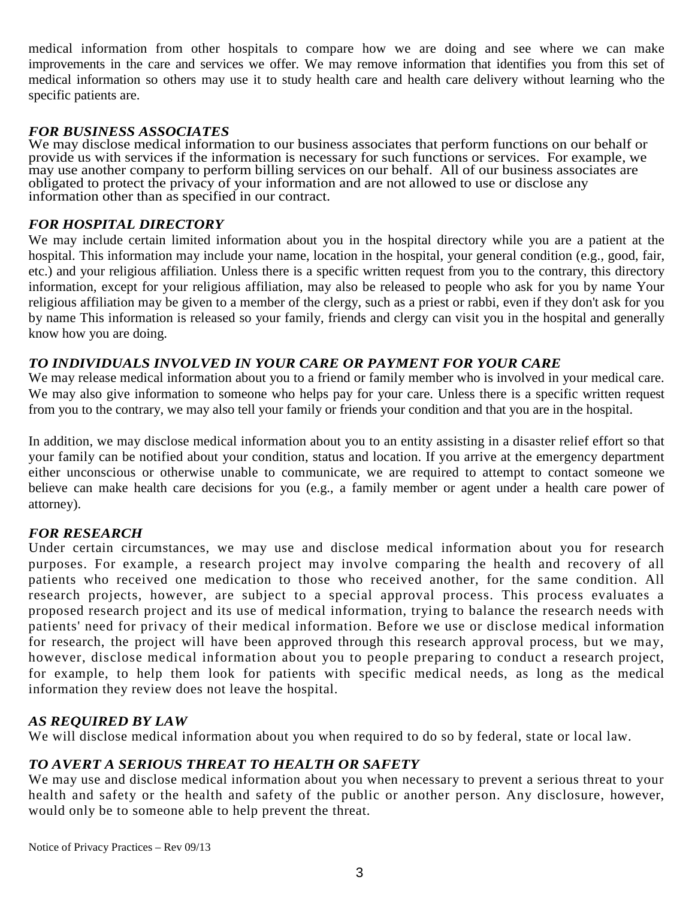medical information from other hospitals to compare how we are doing and see where we can make improvements in the care and services we offer. We may remove information that identifies you from this set of medical information so others may use it to study health care and health care delivery without learning who the specific patients are.

#### *FOR BUSINESS ASSOCIATES*

We may disclose medical information to our business associates that perform functions on our behalf or provide us with services if the information is necessary for such functions or services. For example, we may use another company to perform billing services on our behalf. All of our business associates are obligated to protect the privacy of your information and are not allowed to use or disclose any information other than as specified in our contract.

## *FOR HOSPITAL DIRECTORY*

We may include certain limited information about you in the hospital directory while you are a patient at the hospital. This information may include your name, location in the hospital, your general condition (e.g., good, fair, etc.) and your religious affiliation. Unless there is a specific written request from you to the contrary, this directory information, except for your religious affiliation, may also be released to people who ask for you by name Your religious affiliation may be given to a member of the clergy, such as a priest or rabbi, even if they don't ask for you by name This information is released so your family, friends and clergy can visit you in the hospital and generally know how you are doing.

## *TO INDIVIDUALS INVOLVED IN YOUR CARE OR PAYMENT FOR YOUR CARE*

We may release medical information about you to a friend or family member who is involved in your medical care. We may also give information to someone who helps pay for your care. Unless there is a specific written request from you to the contrary, we may also tell your family or friends your condition and that you are in the hospital.

In addition, we may disclose medical information about you to an entity assisting in a disaster relief effort so that your family can be notified about your condition, status and location. If you arrive at the emergency department either unconscious or otherwise unable to communicate, we are required to attempt to contact someone we believe can make health care decisions for you (e.g., a family member or agent under a health care power of attorney).

## *FOR RESEARCH*

Under certain circumstances, we may use and disclose medical information about you for research purposes. For example, a research project may involve comparing the health and recovery of all patients who received one medication to those who received another, for the same condition. All research projects, however, are subject to a special approval process. This process evaluates a proposed research project and its use of medical information, trying to balance the research needs with patients' need for privacy of their medical information. Before we use or disclose medical information for research, the project will have been approved through this research approval process, but we may, however, disclose medical information about you to people preparing to conduct a research project, for example, to help them look for patients with specific medical needs, as long as the medical information they review does not leave the hospital.

## *AS REQUIRED BY LAW*

We will disclose medical information about you when required to do so by federal, state or local law.

## *TO AVERT A SERIOUS THREAT TO HEALTH OR SAFETY*

We may use and disclose medical information about you when necessary to prevent a serious threat to your health and safety or the health and safety of the public or another person. Any disclosure, however, would only be to someone able to help prevent the threat.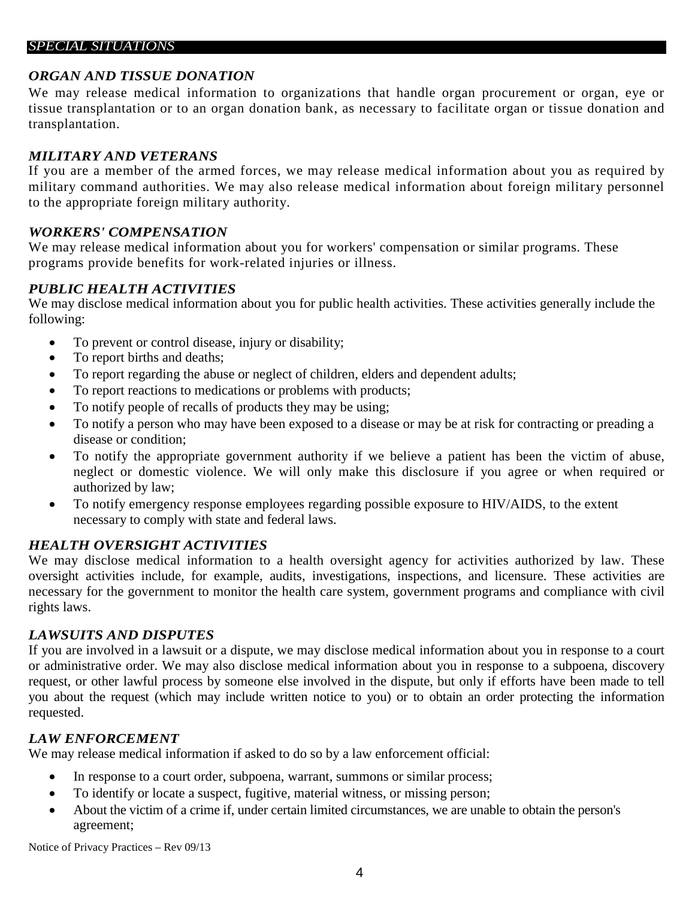#### *SPECIAL SITUATIONS*

#### *ORGAN AND TISSUE DONATION*

We may release medical information to organizations that handle organ procurement or organ, eye or tissue transplantation or to an organ donation bank, as necessary to facilitate organ or tissue donation and transplantation.

#### *MILITARY AND VETERANS*

If you are a member of the armed forces, we may release medical information about you as required by military command authorities. We may also release medical information about foreign military personnel to the appropriate foreign military authority.

#### *WORKERS' COMPENSATION*

We may release medical information about you for workers' compensation or similar programs. These programs provide benefits for work-related injuries or illness.

#### *PUBLIC HEALTH ACTIVITIES*

We may disclose medical information about you for public health activities. These activities generally include the following:

- To prevent or control disease, injury or disability;
- To report births and deaths;
- To report regarding the abuse or neglect of children, elders and dependent adults;
- To report reactions to medications or problems with products;
- To notify people of recalls of products they may be using;
- To notify a person who may have been exposed to a disease or may be at risk for contracting or preading a disease or condition;
- To notify the appropriate government authority if we believe a patient has been the victim of abuse, neglect or domestic violence. We will only make this disclosure if you agree or when required or authorized by law;
- To notify emergency response employees regarding possible exposure to HIV/AIDS, to the extent necessary to comply with state and federal laws.

#### *HEALTH OVERSIGHT ACTIVITIES*

We may disclose medical information to a health oversight agency for activities authorized by law. These oversight activities include, for example, audits, investigations, inspections, and licensure. These activities are necessary for the government to monitor the health care system, government programs and compliance with civil rights laws.

#### *LAWSUITS AND DISPUTES*

If you are involved in a lawsuit or a dispute, we may disclose medical information about you in response to a court or administrative order. We may also disclose medical information about you in response to a subpoena, discovery request, or other lawful process by someone else involved in the dispute, but only if efforts have been made to tell you about the request (which may include written notice to you) or to obtain an order protecting the information requested.

#### *LAW ENFORCEMENT*

We may release medical information if asked to do so by a law enforcement official:

- In response to a court order, subpoena, warrant, summons or similar process;
- To identify or locate a suspect, fugitive, material witness, or missing person;
- About the victim of a crime if, under certain limited circumstances, we are unable to obtain the person's agreement;

Notice of Privacy Practices – Rev 09/13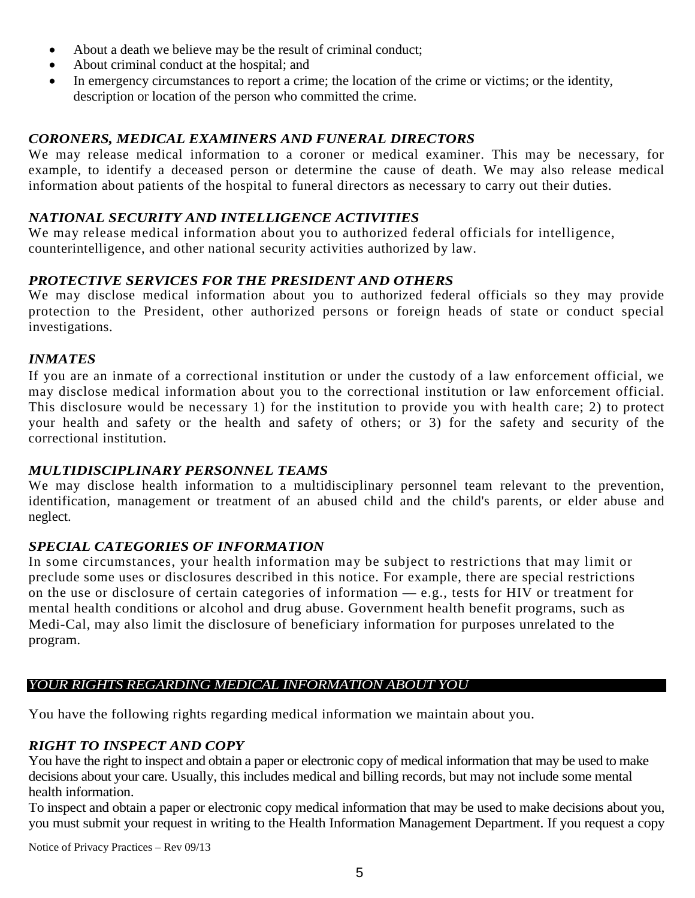- About a death we believe may be the result of criminal conduct;
- About criminal conduct at the hospital; and
- In emergency circumstances to report a crime; the location of the crime or victims; or the identity, description or location of the person who committed the crime.

## *CORONERS, MEDICAL EXAMINERS AND FUNERAL DIRECTORS*

We may release medical information to a coroner or medical examiner. This may be necessary, for example, to identify a deceased person or determine the cause of death. We may also release medical information about patients of the hospital to funeral directors as necessary to carry out their duties.

## *NATIONAL SECURITY AND INTELLIGENCE ACTIVITIES*

We may release medical information about you to authorized federal officials for intelligence, counterintelligence, and other national security activities authorized by law.

## *PROTECTIVE SERVICES FOR THE PRESIDENT AND OTHERS*

We may disclose medical information about you to authorized federal officials so they may provide protection to the President, other authorized persons or foreign heads of state or conduct special investigations.

## *INMATES*

If you are an inmate of a correctional institution or under the custody of a law enforcement official, we may disclose medical information about you to the correctional institution or law enforcement official. This disclosure would be necessary 1) for the institution to provide you with health care; 2) to protect your health and safety or the health and safety of others; or 3) for the safety and security of the correctional institution.

## *MULTIDISCIPLINARY PERSONNEL TEAMS*

We may disclose health information to a multidisciplinary personnel team relevant to the prevention, identification, management or treatment of an abused child and the child's parents, or elder abuse and neglect.

## *SPECIAL CATEGORIES OF INFORMATION*

In some circumstances, your health information may be subject to restrictions that may limit or preclude some uses or disclosures described in this notice. For example, there are special restrictions on the use or disclosure of certain categories of information — e.g., tests for HIV or treatment for mental health conditions or alcohol and drug abuse. Government health benefit programs, such as Medi-Cal, may also limit the disclosure of beneficiary information for purposes unrelated to the program.

## *YOUR RIGHTS REGARDING MEDICAL INFORMATION ABOUT YOU*

You have the following rights regarding medical information we maintain about you.

## *RIGHT TO INSPECT AND COPY*

You have the right to inspect and obtain a paper or electronic copy of medical information that may be used to make decisions about your care. Usually, this includes medical and billing records, but may not include some mental health information.

To inspect and obtain a paper or electronic copy medical information that may be used to make decisions about you, you must submit your request in writing to the Health Information Management Department. If you request a copy

Notice of Privacy Practices – Rev 09/13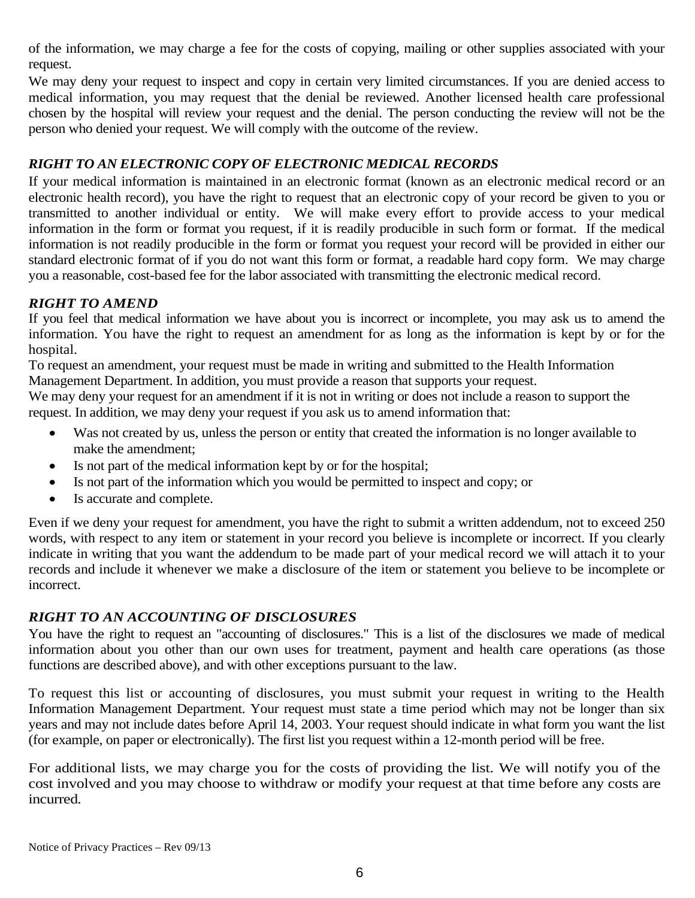of the information, we may charge a fee for the costs of copying, mailing or other supplies associated with your request.

We may deny your request to inspect and copy in certain very limited circumstances. If you are denied access to medical information, you may request that the denial be reviewed. Another licensed health care professional chosen by the hospital will review your request and the denial. The person conducting the review will not be the person who denied your request. We will comply with the outcome of the review.

## *RIGHT TO AN ELECTRONIC COPY OF ELECTRONIC MEDICAL RECORDS*

If your medical information is maintained in an electronic format (known as an electronic medical record or an electronic health record), you have the right to request that an electronic copy of your record be given to you or transmitted to another individual or entity. We will make every effort to provide access to your medical information in the form or format you request, if it is readily producible in such form or format. If the medical information is not readily producible in the form or format you request your record will be provided in either our standard electronic format of if you do not want this form or format, a readable hard copy form. We may charge you a reasonable, cost-based fee for the labor associated with transmitting the electronic medical record.

## *RIGHT TO AMEND*

If you feel that medical information we have about you is incorrect or incomplete, you may ask us to amend the information. You have the right to request an amendment for as long as the information is kept by or for the hospital.

To request an amendment, your request must be made in writing and submitted to the Health Information Management Department. In addition, you must provide a reason that supports your request.

We may deny your request for an amendment if it is not in writing or does not include a reason to support the request. In addition, we may deny your request if you ask us to amend information that:

- Was not created by us, unless the person or entity that created the information is no longer available to make the amendment;
- Is not part of the medical information kept by or for the hospital;
- Is not part of the information which you would be permitted to inspect and copy; or
- Is accurate and complete.

Even if we deny your request for amendment, you have the right to submit a written addendum, not to exceed 250 words, with respect to any item or statement in your record you believe is incomplete or incorrect. If you clearly indicate in writing that you want the addendum to be made part of your medical record we will attach it to your records and include it whenever we make a disclosure of the item or statement you believe to be incomplete or incorrect.

## *RIGHT TO AN ACCOUNTING OF DISCLOSURES*

You have the right to request an "accounting of disclosures." This is a list of the disclosures we made of medical information about you other than our own uses for treatment, payment and health care operations (as those functions are described above), and with other exceptions pursuant to the law.

To request this list or accounting of disclosures, you must submit your request in writing to the Health Information Management Department. Your request must state a time period which may not be longer than six years and may not include dates before April 14, 2003. Your request should indicate in what form you want the list (for example, on paper or electronically). The first list you request within a 12-month period will be free.

For additional lists, we may charge you for the costs of providing the list. We will notify you of the cost involved and you may choose to withdraw or modify your request at that time before any costs are incurred.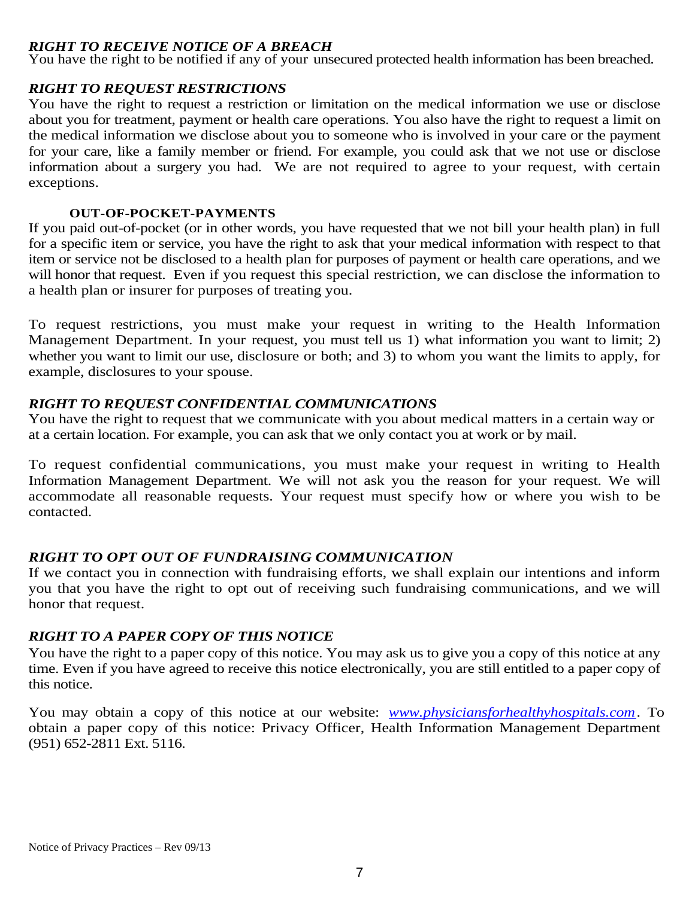#### *RIGHT TO RECEIVE NOTICE OF A BREACH*

You have the right to be notified if any of your unsecured protected health information has been breached.

#### *RIGHT TO REQUEST RESTRICTIONS*

You have the right to request a restriction or limitation on the medical information we use or disclose about you for treatment, payment or health care operations. You also have the right to request a limit on the medical information we disclose about you to someone who is involved in your care or the payment for your care, like a family member or friend. For example, you could ask that we not use or disclose information about a surgery you had. We are not required to agree to your request, with certain exceptions.

#### **OUT-OF-POCKET-PAYMENTS**

If you paid out-of-pocket (or in other words, you have requested that we not bill your health plan) in full for a specific item or service, you have the right to ask that your medical information with respect to that item or service not be disclosed to a health plan for purposes of payment or health care operations, and we will honor that request. Even if you request this special restriction, we can disclose the information to a health plan or insurer for purposes of treating you.

To request restrictions, you must make your request in writing to the Health Information Management Department. In your request, you must tell us 1) what information you want to limit; 2) whether you want to limit our use, disclosure or both; and 3) to whom you want the limits to apply, for example, disclosures to your spouse.

#### *RIGHT TO REQUEST CONFIDENTIAL COMMUNICATIONS*

You have the right to request that we communicate with you about medical matters in a certain way or at a certain location. For example, you can ask that we only contact you at work or by mail.

To request confidential communications, you must make your request in writing to Health Information Management Department. We will not ask you the reason for your request. We will accommodate all reasonable requests. Your request must specify how or where you wish to be contacted.

## *RIGHT TO OPT OUT OF FUNDRAISING COMMUNICATION*

If we contact you in connection with fundraising efforts, we shall explain our intentions and inform you that you have the right to opt out of receiving such fundraising communications, and we will honor that request.

## *RIGHT TO A PAPER COPY OF THIS NOTICE*

You have the right to a paper copy of this notice. You may ask us to give you a copy of this notice at any time. Even if you have agreed to receive this notice electronically, you are still entitled to a paper copy of this notice.

You may obtain a copy of this notice at our website: *www.physiciansforhealthyhospitals.com*. To obtain a paper copy of this notice: Privacy Officer, Health Information Management Department (951) 652-2811 Ext. 5116.